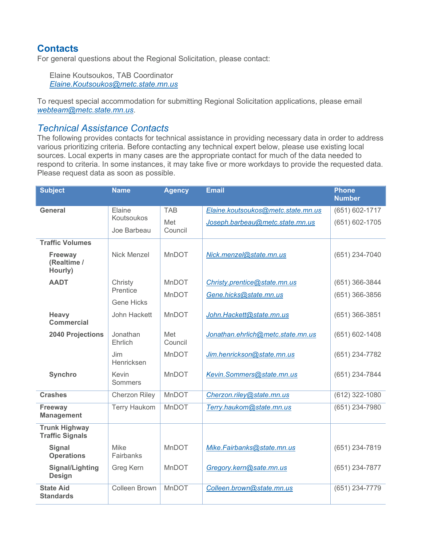## **Contacts**

For general questions about the Regional Solicitation, please contact:

Elaine Koutsoukos, TAB Coordinator *[Elaine.Koutsoukos@metc.state.mn.us](mailto:Elaine.Koutsoukos@metc.state.mn.us)*

To request special accommodation for submitting Regional Solicitation applications, please email *[webteam@metc.state.mn.us](mailto:webteam@metc.state.mn.us)*.

## *Technical Assistance Contacts*

The following provides contacts for technical assistance in providing necessary data in order to address various prioritizing criteria. Before contacting any technical expert below, please use existing local sources. Local experts in many cases are the appropriate contact for much of the data needed to respond to criteria. In some instances, it may take five or more workdays to provide the requested data. Please request data as soon as possible.

| <b>Subject</b>                                 | <b>Name</b>          | <b>Agency</b>  | <b>Email</b>                       | <b>Phone</b>       |
|------------------------------------------------|----------------------|----------------|------------------------------------|--------------------|
|                                                |                      |                |                                    | <b>Number</b>      |
| <b>General</b>                                 | Elaine               | <b>TAB</b>     | Elaine.koutsoukos@metc.state.mn.us | $(651) 602 - 1717$ |
|                                                | Koutsoukos           | Met            | Joseph.barbeau@metc.state.mn.us    | (651) 602-1705     |
|                                                | Joe Barbeau          | Council        |                                    |                    |
| <b>Traffic Volumes</b>                         |                      |                |                                    |                    |
| Freeway<br>(Realtime /<br>Hourly)              | Nick Menzel          | MnDOT          | Nick.menzel@state.mn.us            | (651) 234-7040     |
| <b>AADT</b>                                    | Christy              | <b>MnDOT</b>   | Christy.prentice@state.mn.us       | (651) 366-3844     |
|                                                | Prentice             | MnDOT          | Gene.hicks@state.mn.us             | (651) 366-3856     |
|                                                | <b>Gene Hicks</b>    |                |                                    |                    |
| Heavy<br>Commercial                            | John Hackett         | <b>MnDOT</b>   | John.Hackett@state.mn.us           | $(651)$ 366-3851   |
| <b>2040 Projections</b>                        | Jonathan<br>Ehrlich  | Met<br>Council | Jonathan.ehrlich@metc.state.mn.us  | $(651) 602 - 1408$ |
|                                                | Jim<br>Henricksen    | <b>MnDOT</b>   | Jim.henrickson@state.mn.us         | (651) 234-7782     |
| <b>Synchro</b>                                 | Kevin<br>Sommers     | MnDOT          | Kevin.Sommers@state.mn.us          | (651) 234-7844     |
| <b>Crashes</b>                                 | <b>Cherzon Riley</b> | <b>MnDOT</b>   | Cherzon.riley@state.mn.us          | (612) 322-1080     |
| Freeway<br><b>Management</b>                   | <b>Terry Haukom</b>  | <b>MnDOT</b>   | Terry.haukom@state.mn.us           | (651) 234-7980     |
| <b>Trunk Highway</b><br><b>Traffic Signals</b> |                      |                |                                    |                    |
| <b>Signal</b><br><b>Operations</b>             | Mike<br>Fairbanks    | MnDOT          | Mike.Fairbanks@state.mn.us         | (651) 234-7819     |
| <b>Signal/Lighting</b><br><b>Design</b>        | Greg Kern            | MnDOT          | Gregory.kern@sate.mn.us            | (651) 234-7877     |
| <b>State Aid</b><br><b>Standards</b>           | <b>Colleen Brown</b> | <b>MnDOT</b>   | Colleen.brown@state.mn.us          | (651) 234-7779     |